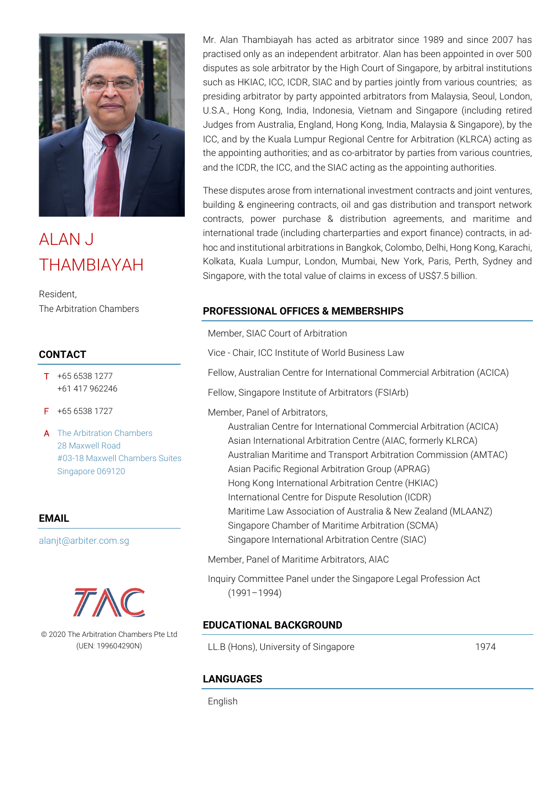

# ALAN J THAMBIAYAH

Resident, The Arbitration Chambers

## **CONTACT**

- T +65 6538 1277 +61 417 962246
- F +65 6538 1727
- A [The Arbitration Chambers](https://www.google.com.sg/maps/place/https:/www.google.com/maps/place/The+Arbitration+Chambers/@1.2773963,103.8442421,17z/data=!3m1!4b1!4m5!3m4!1s0x31da190d929b97e5:0xccf7dd9845218ade!8m2!3d1.2773963!4d103.8464308) [28 Maxwell Road](https://www.google.com.sg/maps/place/https:/www.google.com/maps/place/The+Arbitration+Chambers/@1.2773963,103.8442421,17z/data=!3m1!4b1!4m5!3m4!1s0x31da190d929b97e5:0xccf7dd9845218ade!8m2!3d1.2773963!4d103.8464308) [#03-18 Maxwell Chambers Suites](https://www.google.com.sg/maps/place/https:/www.google.com/maps/place/The+Arbitration+Chambers/@1.2773963,103.8442421,17z/data=!3m1!4b1!4m5!3m4!1s0x31da190d929b97e5:0xccf7dd9845218ade!8m2!3d1.2773963!4d103.8464308) [Singapore 069120](https://www.google.com.sg/maps/place/https:/www.google.com/maps/place/The+Arbitration+Chambers/@1.2773963,103.8442421,17z/data=!3m1!4b1!4m5!3m4!1s0x31da190d929b97e5:0xccf7dd9845218ade!8m2!3d1.2773963!4d103.8464308)

#### **EMAIL**

[alanjt@arbiter.com.sg](mailto:alanjt@arbiter.com.sg)



© 2020 The Arbitration Chambers Pte Ltd (UEN: 199604290N)

Mr. Alan Thambiayah has acted as arbitrator since 1989 and since 2007 has practised only as an independent arbitrator. Alan has been appointed in over 500 disputes as sole arbitrator by the High Court of Singapore, by arbitral institutions such as HKIAC, ICC, ICDR, SIAC and by parties jointly from various countries; as presiding arbitrator by party appointed arbitrators from Malaysia, Seoul, London, U.S.A., Hong Kong, India, Indonesia, Vietnam and Singapore (including retired Judges from Australia, England, Hong Kong, India, Malaysia & Singapore), by the ICC, and by the Kuala Lumpur Regional Centre for Arbitration (KLRCA) acting as the appointing authorities; and as co-arbitrator by parties from various countries, and the ICDR, the ICC, and the SIAC acting as the appointing authorities.

These disputes arose from international investment contracts and joint ventures, building & engineering contracts, oil and gas distribution and transport network contracts, power purchase & distribution agreements, and maritime and international trade (including charterparties and export finance) contracts, in adhoc and institutional arbitrations in Bangkok, Colombo, Delhi, Hong Kong, Karachi, Kolkata, Kuala Lumpur, London, Mumbai, New York, Paris, Perth, Sydney and Singapore, with the total value of claims in excess of US\$7.5 billion.

## **PROFESSIONAL OFFICES & MEMBERSHIPS**

Member, SIAC Court of Arbitration

Vice - Chair, ICC Institute of World Business Law

Fellow, Australian Centre for International Commercial Arbitration (ACICA)

Fellow, Singapore Institute of Arbitrators (FSIArb)

Member, Panel of Arbitrators,

Australian Centre for International Commercial Arbitration (ACICA) Asian International Arbitration Centre (AIAC, formerly KLRCA) Australian Maritime and Transport Arbitration Commission (AMTAC) Asian Pacific Regional Arbitration Group (APRAG) Hong Kong International Arbitration Centre (HKIAC) International Centre for Dispute Resolution (ICDR) Maritime Law Association of Australia & New Zealand (MLAANZ) Singapore Chamber of Maritime Arbitration (SCMA) Singapore International Arbitration Centre (SIAC)

Member, Panel of Maritime Arbitrators, AIAC

Inquiry Committee Panel under the Singapore Legal Profession Act (1991–1994)

## **EDUCATIONAL BACKGROUND**

LL.B (Hons), University of Singapore 1974

#### **LANGUAGES**

English